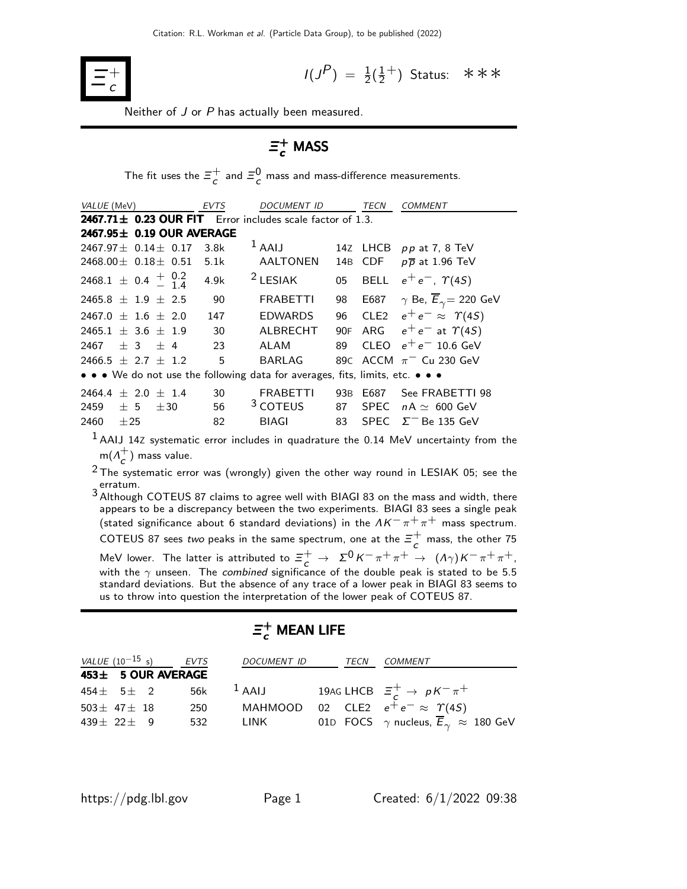

$$
I(J^P) = \frac{1}{2}(\frac{1}{2}^+)
$$
 Status:  $\ast \ast \ast$ 

Neither of J or P has actually been measured.

# $\bar{\bm{\Xi}}_c^+$  MASS

The fit uses the  $\Xi_c^+$  $\frac{+}{c}$  and  $\Xi_c^0$  mass and mass-difference measurements.

| <i>VALUE</i> (MeV)                                                            | EVTS | DOCUMENT ID         |                 | TECN        | <b>COMMENT</b>                                 |
|-------------------------------------------------------------------------------|------|---------------------|-----------------|-------------|------------------------------------------------|
| 2467.71 $\pm$ 0.23 OUR FIT Error includes scale factor of 1.3.                |      |                     |                 |             |                                                |
| 2467.95 $\pm$ 0.19 OUR AVERAGE                                                |      |                     |                 |             |                                                |
| $2467.97 \pm 0.14 \pm 0.17$                                                   | 3.8k | $1$ AAIJ            |                 | 14Z LHCB    | $pp$ at 7, 8 TeV                               |
| 2468.00 $\pm$ 0.18 $\pm$ 0.51                                                 | 5.1k | <b>AALTONEN</b>     | 14 <sub>B</sub> | <b>CDF</b>  | $p\overline{p}$ at 1.96 TeV                    |
| 2468.1 $\pm$ 0.4 $\frac{+}{-}$ 0.2                                            | 4.9k | $2$ LESIAK          | 05              | <b>BELL</b> | $e^+e^-$ , $\Upsilon(4S)$                      |
| $2465.8 \pm 1.9 \pm 2.5$                                                      | 90   | <b>FRABETTI</b>     | 98              | E687        | $\gamma$ Be, $\overline{E}_{\gamma}$ = 220 GeV |
| $2467.0 \pm 1.6 \pm 2.0$                                                      | 147  | <b>EDWARDS</b>      | 96              |             | CLE2 $e^+e^- \approx \Upsilon(45)$             |
| $2465.1 \pm 3.6 \pm 1.9$                                                      | 30   | ALBRECHT            | 90F             | ARG         | $e^+e^-$ at $\Upsilon(4S)$                     |
| $+3$ $+4$<br>2467                                                             | 23   | ALAM                | 89              |             | CLEO $e^+e^-$ 10.6 GeV                         |
| $2466.5 + 2.7 + 1.2$                                                          | 5    | BARLAG              |                 |             | 89C ACCM $\pi$ <sup>-</sup> Cu 230 GeV         |
| • • • We do not use the following data for averages, fits, limits, etc. • • • |      |                     |                 |             |                                                |
| $+2.0 + 1.4$<br>2464.4                                                        | 30   | <b>FRABETTI</b>     | 93B             | E687        | See FRABETTI 98                                |
| 2459<br>± 5<br>±30                                                            | 56   | <sup>3</sup> COTEUS | 87              | <b>SPEC</b> | $nA \simeq 600$ GeV                            |
| 2460<br>$+25$                                                                 | 82   | <b>BIAGI</b>        | 83              | SPEC        | $\Sigma$ <sup>-</sup> Be 135 GeV               |

 $<sup>1</sup>$  AAIJ 14Z systematic error includes in quadrature the 0.14 MeV uncertainty from the</sup>  $m(\Lambda_c^+$  $\overline{c}$ ) mass value.

 $2$  The systematic error was (wrongly) given the other way round in LESIAK 05; see the erratum.

3 Although COTEUS 87 claims to agree well with BIAGI 83 on the mass and width, there appears to be a discrepancy between the two experiments. BIAGI 83 sees a single peak (stated significance about 6 standard deviations) in the  $\Lambda K^-\pi^+\pi^+$  mass spectrum. COTEUS 87 sees two peaks in the same spectrum, one at the  $\Xi^+$  $\overline{c}$  mass, the other 75 MeV lower. The latter is attributed to  $\Xi_c^+ \to \Sigma^0 K^- \pi^+ \pi^+ \to (\Lambda \gamma) K^- \pi^+ \pi^+$ , with the  $\gamma$  unseen. The *combined* significance of the double peak is stated to be 5.5 standard deviations. But the absence of any trace of a lower peak in BIAGI 83 seems to us to throw into question the interpretation of the lower peak of COTEUS 87.

# $\mathsf{\Xi_c^+}$  MEAN LIFE

|                     |  | VALUE $(10^{-15} s)$ EVTS | DOCUMENT ID TECN |  | <i>COMMENT</i>                                                              |
|---------------------|--|---------------------------|------------------|--|-----------------------------------------------------------------------------|
|                     |  | 453± 5 OUR AVERAGE        |                  |  |                                                                             |
|                     |  |                           |                  |  | 454 $\pm$ 5 $\pm$ 2 56k $^1$ AAIJ 19AG LHCB $\Xi_c^+ \rightarrow pK^-\pi^+$ |
| $503 \pm 47 \pm 18$ |  | 250                       |                  |  | MAHMOOD 02 CLE2 $e^+e^- \approx \Upsilon(4S)$                               |
| $439 \pm 22 \pm 9$  |  | 532                       |                  |  | LINK 01D FOCS $\gamma$ nucleus, $\overline{E}_{\gamma} \approx 180$ GeV     |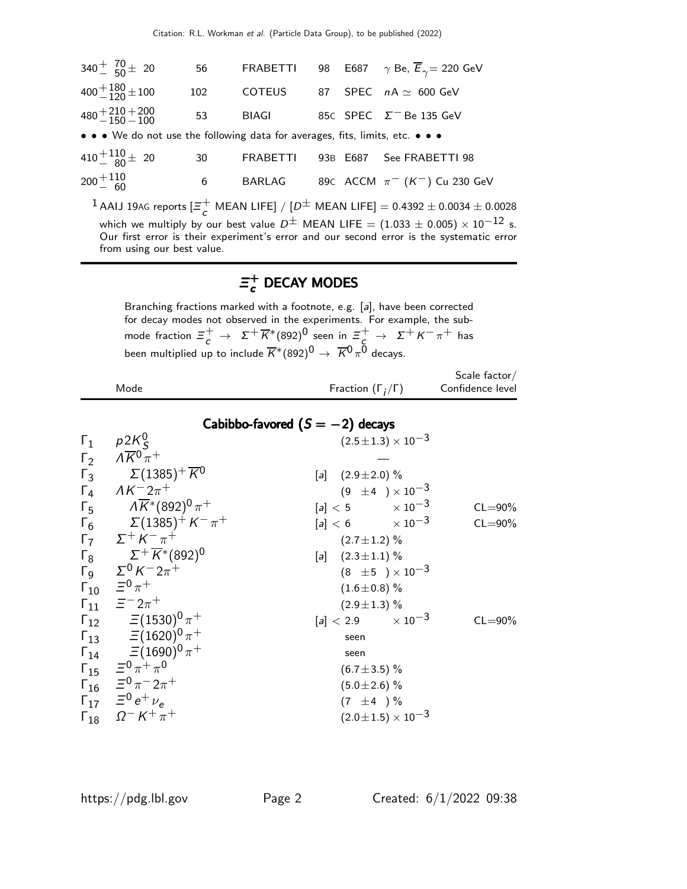| $340^{+}$ $70^{+}$ 20                                                         | 56  | <b>FRABETTI</b> |    |          | 98 E687 $\gamma$ Be, $\overline{E}_{\gamma}$ = 220 GeV |
|-------------------------------------------------------------------------------|-----|-----------------|----|----------|--------------------------------------------------------|
| $400 + \frac{180}{120} \pm 100$                                               | 102 | <b>COTEUS</b>   | 87 |          | SPEC $nA \simeq 600$ GeV                               |
| $480 + 210 + 200$<br>$-150 - 100$                                             | 53  | <b>BIAGI</b>    |    |          | 85C SPEC $\Sigma$ <sup>-</sup> Be 135 GeV              |
| • • • We do not use the following data for averages, fits, limits, etc. • • • |     |                 |    |          |                                                        |
| $410 + {110 \over 80} \pm 20$                                                 | 30  | <b>FRABETTI</b> |    | 93B E687 | See FRABETTI 98                                        |
| $200 + 110$<br>60                                                             | 6   | <b>BARLAG</b>   |    |          | 89c ACCM $\pi^{-}$ (K <sup>-</sup> ) Cu 230 GeV        |
|                                                                               |     |                 |    |          |                                                        |

 $^1$  AAIJ 19AG reports  $[\Xi_c^+]$  $\frac{1}{c}$  MEAN LIFE] /  $[D^{\pm}$  MEAN LIFE] = 0.4392  $\pm$  0.0034  $\pm$  0.0028 which we multiply by our best value  $D^{\pm}$  MEAN LIFE =  $(1.033 \pm 0.005) \times 10^{-12}$  s. Our first error is their experiment's error and our second error is the systematic error from using our best value.

#### Ξ +  $\epsilon$  DECAY MODES

Branching fractions marked with a footnote, e.g. [a], have been corrected for decay modes not observed in the experiments. For example, the submode fraction  $\Xi_c^+ \to \Sigma^+ \overline{K}{}^*(892)^0$  seen in  $\Xi_c^+ \to \Sigma^+ K^- \pi^+$  has been multiplied up to include  $\overline{K}^{*}(892)^{\overline{0}} \rightarrow \overline{K}{}^{\overline{0}}\pi^{\overline{0}}$  decays.

|              | Mode                                                        | Fraction $(\Gamma_i/\Gamma)$      | Scale factor/<br>Confidence level |  |
|--------------|-------------------------------------------------------------|-----------------------------------|-----------------------------------|--|
|              |                                                             | Cabibbo-favored $(S = -2)$ decays |                                   |  |
| $\Gamma_1$   | $p2K_c^0$                                                   | $(2.5 \pm 1.3) \times 10^{-3}$    |                                   |  |
|              | $\Gamma_2 \qquad \Lambda \overline{K}^0 \overline{\pi}{}^+$ |                                   |                                   |  |
| $\Gamma_3$   | $\Sigma(1385)^+ \overline{K}{}^0$                           | [a] $(2.9 \pm 2.0)$ %             |                                   |  |
| $\Gamma_4$   | $\Lambda K^- 2\pi^+$                                        | $(9 \pm 4) \times 10^{-3}$        |                                   |  |
| $\Gamma_{5}$ | $\Lambda\overline{K}{}^*(892)^0\,\pi^+$                     | $[a] < 5$ $\times 10^{-3}$        | $CL = 90\%$                       |  |
| $\Gamma_6$   | $\Sigma(1385)^{+} K^{-} \pi^{+}$                            | $[a] < 6$ $\times 10^{-3}$        | $CL = 90\%$                       |  |
| $\Gamma$     | $\Sigma^+$ K $^ \pi^+$                                      | $(2.7 \pm 1.2)$ %                 |                                   |  |
| $\Gamma_8$   | $\Sigma^+ \overline{K}{}^*(892)^0$                          | [a] $(2.3 \pm 1.1)$ %             |                                   |  |
|              | $\Gamma_9$ Σ <sup>0</sup> K <sup>-</sup> 2π <sup>+</sup>    | $(8 \pm 5) \times 10^{-3}$        |                                   |  |
|              | $\Gamma_{10}$ $\equiv^0 \pi^+$                              | $(1.6 \pm 0.8)$ %                 |                                   |  |
|              | $\Gamma_{11}$ $\equiv$ $\equiv$ $2\pi$ <sup>+</sup>         | $(2.9 \pm 1.3)$ %                 |                                   |  |
|              | $\Gamma_{12}$ = (1530) <sup>0</sup> $\pi$ <sup>+</sup>      | $[a] < 2.9$ $\times 10^{-3}$      | $CL = 90\%$                       |  |
|              | $\Gamma_{13}$ = (1620) <sup>0</sup> $\pi$ <sup>+</sup>      | seen                              |                                   |  |
|              | $\Gamma_{14}$ = (1690) <sup>0</sup> $\pi$ <sup>+</sup>      | seen                              |                                   |  |
|              | $\Gamma_{15}$ $\equiv^0 \pi^+ \pi^0$                        | $(6.7 \pm 3.5)\%$                 |                                   |  |
|              | $\Gamma_{16}$ $\equiv^0 \pi^- 2\pi^+$                       | $(5.0 \pm 2.6)$ %                 |                                   |  |
|              | $\Gamma_{17}$ $\equiv^0 e^+ \nu_e$                          | $(7 \pm 4) \%$                    |                                   |  |
|              | $\Gamma_{18}$ $\Omega^- K^+ \pi^+$                          | $(2.0 \pm 1.5) \times 10^{-3}$    |                                   |  |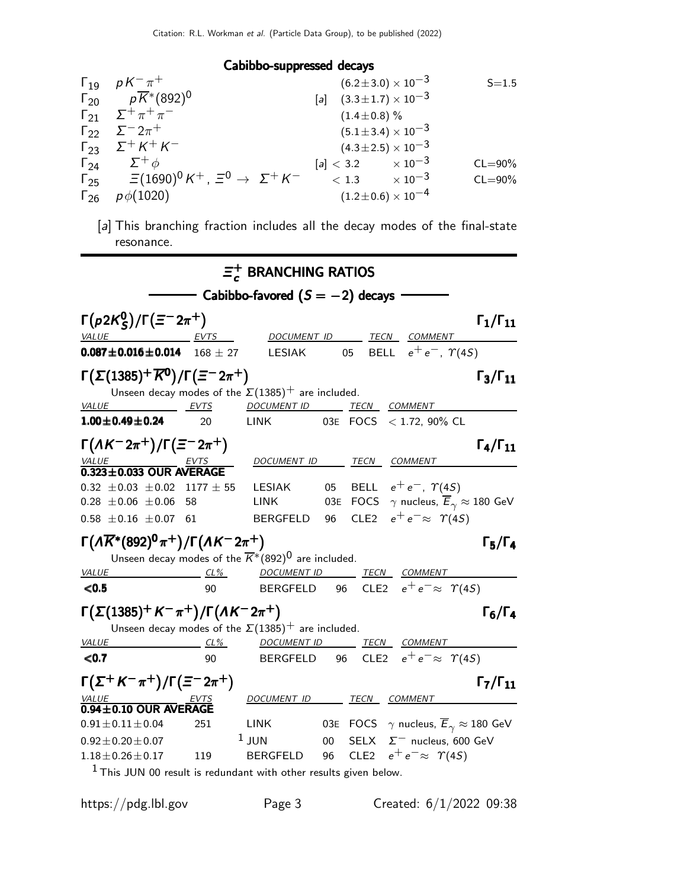### Cabibbo-suppressed decays

|               | $\Gamma_{19}$ $pK^{-}\pi^{+}$                                                                               | $(6.2 \pm 3.0) \times 10^{-3}$     | $S = 1.5$   |
|---------------|-------------------------------------------------------------------------------------------------------------|------------------------------------|-------------|
|               | $\Gamma_{20}$ $p\overline{K}$ <sup>*</sup> (892) <sup>0</sup>                                               | [a] $(3.3 \pm 1.7) \times 10^{-3}$ |             |
|               | $\Gamma_{21}$ $\Sigma^{+} \pi^{+} \pi^{-}$                                                                  | $(1.4 \pm 0.8)\%$                  |             |
|               | $\Gamma_{22}$ $\Sigma^{-} 2\pi^{+}$                                                                         | $(5.1 \pm 3.4) \times 10^{-3}$     |             |
|               | $\Gamma_{23}$ $\Sigma^{+} K^{+} K^{-}$                                                                      | $(4.3 \pm 2.5) \times 10^{-3}$     |             |
|               | $\Gamma_{24}$ $\Sigma^+ \phi$                                                                               | $[a] < 3.2$ $\times 10^{-3}$       | $CL = 90\%$ |
|               | $\Gamma_{25}$ = (1690) <sup>0</sup> K <sup>+</sup> , = <sup>0</sup> $\rightarrow \Sigma^{+}$ K <sup>-</sup> | $< 1.3 \times 10^{-3}$             | $CL = 90\%$ |
| $\Gamma_{26}$ | $p\phi(1020)$                                                                                               | $(1.2\!\pm\!0.6)\times10^{-4}$     |             |
|               |                                                                                                             |                                    |             |

[a] This branching fraction includes all the decay modes of the final-state resonance.

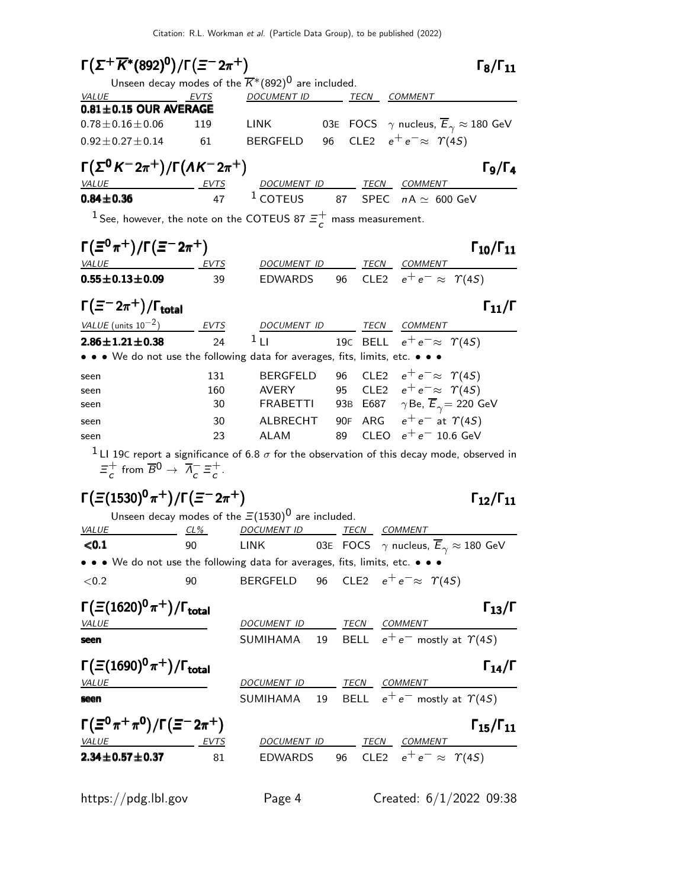| $\Gamma(\Sigma^+\overline{K}{}^*(892)^0)/\Gamma(\Xi^-2\pi^+)$                                                                                                                   |                                                |    | $\Gamma_8/\Gamma_{11}$                                                                                                                                                |
|---------------------------------------------------------------------------------------------------------------------------------------------------------------------------------|------------------------------------------------|----|-----------------------------------------------------------------------------------------------------------------------------------------------------------------------|
| Unseen decay modes of the $\overline{K}^*(892)^0$ are included.                                                                                                                 |                                                |    |                                                                                                                                                                       |
| <b>VALUE</b><br><b>EVTS</b>                                                                                                                                                     | DOCUMENT ID TECN COMMENT                       |    |                                                                                                                                                                       |
| $0.81 \pm 0.15$ OUR AVERAGE                                                                                                                                                     |                                                |    |                                                                                                                                                                       |
| $0.78 \pm 0.16 \pm 0.06$<br>119                                                                                                                                                 |                                                |    | LINK 638 FOCS $\gamma$ nucleus, $\overline{E}_\gamma \approx 180$ GeV                                                                                                 |
| $0.92 \pm 0.27 \pm 0.14$<br>61                                                                                                                                                  | BERGFELD                                       |    | 96 CLE2 $e^+e^- \approx \Upsilon(4S)$                                                                                                                                 |
| $\Gamma(\Sigma^0 K^- 2\pi^+)/\Gamma(\Lambda K^- 2\pi^+)$                                                                                                                        |                                                |    | $\Gamma_9/\Gamma_4$                                                                                                                                                   |
| <b>VALUE</b>                                                                                                                                                                    |                                                |    |                                                                                                                                                                       |
| $0.84 \pm 0.36$                                                                                                                                                                 |                                                |    | $\frac{EVTS}{47}$ $\frac{DOCUMENT ID}{1 \text{COTEUS}}$ $\frac{TECN}{3 \text{SPEC}}$ $\frac{COMMENT}{A \approx 600 \text{ GeV}}$                                      |
| <sup>1</sup> See, however, the note on the COTEUS 87 $\Xi^+$ mass measurement.                                                                                                  |                                                |    |                                                                                                                                                                       |
| $\Gamma(\Xi^0 \pi^+) / \Gamma(\Xi^- 2 \pi^+)$                                                                                                                                   |                                                |    | $\Gamma_{10}/\Gamma_{11}$                                                                                                                                             |
| VALUE<br><u>EVTS</u>                                                                                                                                                            | DOCUMENT ID TECN COMMENT                       |    |                                                                                                                                                                       |
| $0.55 \pm 0.13 \pm 0.09$<br>39                                                                                                                                                  | <b>EDWARDS</b>                                 |    | 96 CLE2 $e^+e^- \approx \Upsilon(4S)$                                                                                                                                 |
| $\Gamma(\equiv^- 2\pi^+)/\Gamma_{\rm total}$                                                                                                                                    |                                                |    | $\Gamma_{11}/\Gamma$                                                                                                                                                  |
| VALUE $(\text{units } 10^{-2})$ EVTS DOCUMENT ID TECN COMMENT                                                                                                                   |                                                |    |                                                                                                                                                                       |
| $2.86 \pm 1.21 \pm 0.38$<br>24                                                                                                                                                  | $1_{\perp}$                                    |    | 190 BELL $e^+e^- \approx \Upsilon(4S)$                                                                                                                                |
| • • • We do not use the following data for averages, fits, limits, etc. • • •                                                                                                   |                                                |    |                                                                                                                                                                       |
| 131<br>seen                                                                                                                                                                     | <b>BERGFELD</b>                                |    | 96 CLE2 $e^+e^- \approx \Upsilon(4S)$                                                                                                                                 |
| 160<br>seen                                                                                                                                                                     |                                                |    | AVERY               95     CLE2     e <sup>+</sup> e <sup>-</sup> $\approx$ $\gamma(4S)$<br>FRABETTI         93B    E687 $\gamma$ Be, $\overline{E}_\gamma=$ 220  GeV |
| 30<br>seen                                                                                                                                                                      |                                                |    |                                                                                                                                                                       |
| 30<br>seen                                                                                                                                                                      |                                                |    | ALBRECHT 90F ARG $e^+e^-$ at $\varUpsilon(4S)$                                                                                                                        |
| 23<br>seen                                                                                                                                                                      | ALAM                                           | 89 | CLEO $e^+e^-$ 10.6 GeV                                                                                                                                                |
| <sup>1</sup> LI 19C report a significance of 6.8 $\sigma$ for the observation of this decay mode, observed in<br>$\Xi_c^+$ from $\overline{B}^0 \to \overline{A}_c^- \Xi_c^+$ . |                                                |    |                                                                                                                                                                       |
| $\Gamma(\Xi(1530)^{0}\pi^{+})/\Gamma(\Xi^{-}2\pi^{+})$<br>Unseen decay modes of the $\Xi(1530)^{0}$ are included.                                                               |                                                |    | $\Gamma_{12}/\Gamma_{11}$                                                                                                                                             |
| VALUE<br>$CL\%$                                                                                                                                                                 | DOCUMENT ID TECN COMMENT                       |    |                                                                                                                                                                       |
| 90<br>$0.1$                                                                                                                                                                     | LINK                                           |    | 03E FOCS $\gamma$ nucleus, $\overline{E}_{\gamma} \approx 180 \text{ GeV}$                                                                                            |
|                                                                                                                                                                                 |                                                |    |                                                                                                                                                                       |
| • • • We do not use the following data for averages, fits, limits, etc. • • •<br>${<}0.2$<br>90                                                                                 | BERGFELD 96 CLE2 $e^+e^- \approx \Upsilon(4S)$ |    |                                                                                                                                                                       |
|                                                                                                                                                                                 |                                                |    |                                                                                                                                                                       |
| $\Gamma(\Xi(1620)^{0}\pi^{+})/\Gamma_{\rm total}$                                                                                                                               |                                                |    | $\Gamma_{13}/\Gamma$                                                                                                                                                  |
| <b>VALUE</b>                                                                                                                                                                    | DOCUMENT ID TECN COMMENT                       |    |                                                                                                                                                                       |
| seen                                                                                                                                                                            |                                                |    | SUMIHAMA 19 BELL $e^+e^-$ mostly at $\gamma(4S)$                                                                                                                      |
| $\Gamma(\Xi(1690)^{0}\pi^{+})/\Gamma_{\rm total}$<br><u>VALUE</u>                                                                                                               | DOCUMENT ID TECN COMMENT                       |    | $\Gamma_{14}/\Gamma$                                                                                                                                                  |
| seen                                                                                                                                                                            |                                                |    | SUMIHAMA 19 BELL $e^+e^-$ mostly at $\gamma(4S)$                                                                                                                      |
|                                                                                                                                                                                 |                                                |    |                                                                                                                                                                       |
| $\Gamma(\Xi^0 \pi^+ \pi^0)/\Gamma(\Xi^- 2\pi^+)$                                                                                                                                |                                                |    | $\Gamma_{15}/\Gamma_{11}$                                                                                                                                             |
| <b>VALUE</b><br>EVTS                                                                                                                                                            |                                                |    | DOCUMENT ID TECN COMMENT                                                                                                                                              |
| $2.34 \pm 0.57 \pm 0.37$<br>81                                                                                                                                                  |                                                |    | EDWARDS 96 CLE2 $e^+e^- \approx \Upsilon(45)$                                                                                                                         |
| https://pdg.lbl.gov                                                                                                                                                             | Page 4                                         |    | Created: $6/1/2022$ 09:38                                                                                                                                             |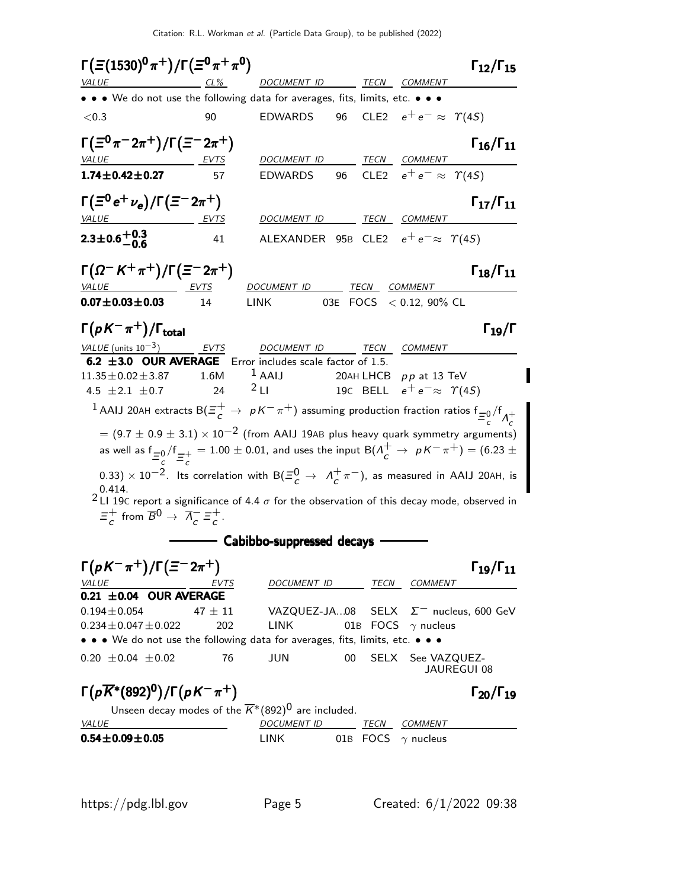| $CL\%$<br><i>VALUE</i>                                                                                                                                                                                                                                                                                                                                                                                                                                                                                                                                                                                                                                                                                                                                                                                                                  |                    |                                                                |    |             |                                                                                          |                             |
|-----------------------------------------------------------------------------------------------------------------------------------------------------------------------------------------------------------------------------------------------------------------------------------------------------------------------------------------------------------------------------------------------------------------------------------------------------------------------------------------------------------------------------------------------------------------------------------------------------------------------------------------------------------------------------------------------------------------------------------------------------------------------------------------------------------------------------------------|--------------------|----------------------------------------------------------------|----|-------------|------------------------------------------------------------------------------------------|-----------------------------|
|                                                                                                                                                                                                                                                                                                                                                                                                                                                                                                                                                                                                                                                                                                                                                                                                                                         |                    |                                                                |    |             | DOCUMENT ID TECN COMMENT                                                                 |                             |
| • • We do not use the following data for averages, fits, limits, etc. • • •                                                                                                                                                                                                                                                                                                                                                                                                                                                                                                                                                                                                                                                                                                                                                             |                    |                                                                |    |             |                                                                                          |                             |
| < 0.3                                                                                                                                                                                                                                                                                                                                                                                                                                                                                                                                                                                                                                                                                                                                                                                                                                   | 90                 | <b>EDWARDS</b>                                                 | 96 |             | CLE2 $e^+e^- \approx \Upsilon(4S)$                                                       |                             |
| $\Gamma(\Xi^0 \pi^- 2\pi^+)/\Gamma(\Xi^- 2\pi^+)$<br><i>VALUE</i><br>EVTS                                                                                                                                                                                                                                                                                                                                                                                                                                                                                                                                                                                                                                                                                                                                                               |                    | DOCUMENT ID                                                    |    |             | TECN COMMENT                                                                             | $\Gamma_{16}/\Gamma_{11}$   |
| $1.74 \pm 0.42 \pm 0.27$                                                                                                                                                                                                                                                                                                                                                                                                                                                                                                                                                                                                                                                                                                                                                                                                                | 57                 | <b>EDWARDS</b>                                                 | 96 |             | CLE2 $e^+e^- \approx \Upsilon(4S)$                                                       |                             |
| $\Gamma(\Xi^0 e^+ \nu_e)/\Gamma(\Xi^- 2\pi^+)$<br><i>VALUE</i><br><u>EVTS</u>                                                                                                                                                                                                                                                                                                                                                                                                                                                                                                                                                                                                                                                                                                                                                           |                    | DOCUMENT ID TECN COMMENT                                       |    |             |                                                                                          | $\Gamma_{17}/\Gamma_{11}$   |
| $2.3 \pm 0.6 \pm 0.3$                                                                                                                                                                                                                                                                                                                                                                                                                                                                                                                                                                                                                                                                                                                                                                                                                   | 41                 | ALEXANDER 95B CLE2 $e^+e^- \approx \Upsilon(45)$               |    |             |                                                                                          |                             |
| $\Gamma(\Omega^- K^+ \pi^+) / \Gamma(\Xi^- 2\pi^+)$<br>VALUE                                                                                                                                                                                                                                                                                                                                                                                                                                                                                                                                                                                                                                                                                                                                                                            |                    | DOCUMENT ID                                                    |    |             | <b>TECN COMMENT</b>                                                                      | $\Gamma_{18}/\Gamma_{11}$   |
| $0.07 \pm 0.03 \pm 0.03$                                                                                                                                                                                                                                                                                                                                                                                                                                                                                                                                                                                                                                                                                                                                                                                                                | 14                 | <b>LINK</b>                                                    |    |             | 03E FOCS < 0.12, 90% CL                                                                  |                             |
| $\Gamma(pK^{-}\pi^{+})/\Gamma_{\rm total}$                                                                                                                                                                                                                                                                                                                                                                                                                                                                                                                                                                                                                                                                                                                                                                                              |                    |                                                                |    |             |                                                                                          | $\Gamma_{19}/\Gamma$        |
| VALUE (units $10^{-3}$ )<br>6.2 ±3.0 OUR AVERAGE Error includes scale factor of 1.5.<br>$11.35 \pm 0.02 \pm 3.87$<br>4.5 $\pm 2.1 \pm 0.7$<br>1 AAIJ 20AH extracts $B(\Xi_c^+\to pK^-\pi^+)$ assuming production fraction ratios $f_{\Xi_c^0}/f_{\Lambda_c^+}$<br>$\sigma = (9.7 \pm 0.9 \pm 3.1) \times 10^{-2}$ (from AAIJ 19AB plus heavy quark symmetry arguments)<br>as well as $f_{\frac{=0}{2}}/f_{\frac{=+}{3}} = 1.00 \pm 0.01$ , and uses the input $B(\Lambda_c^+ \to pK^-\pi^+) = (6.23 \pm 0.01)$<br>0.33) $\times$ 10 <sup>-2</sup> . Its correlation with B( $\Xi^0$ $\rightarrow$ $\Lambda^+$ $\pi^-$ ), as measured in AAIJ 20AH, is<br>0.414.<br>2 L1 19C report a significance of 4.4 $\sigma$ for the observation of this decay mode, observed in<br>$\Xi_c^+$ from $\overline{B}^0 \to \overline{A}_c^- \Xi_c^+$ . | EVTS<br>1.6M<br>24 | DOCUMENT ID<br>$1$ AAIJ<br>2L1<br>—— Cabibbo-suppressed decays |    | <b>TECN</b> | <b>COMMENT</b><br>20AH LHCB $pp$ at 13 TeV<br>19C BELL $e^+e^-\approx$ $\varUpsilon(4S)$ |                             |
|                                                                                                                                                                                                                                                                                                                                                                                                                                                                                                                                                                                                                                                                                                                                                                                                                                         |                    |                                                                |    |             |                                                                                          |                             |
| $\Gamma(pK^{-}\pi^{+})/\Gamma(\Xi^{-}2\pi^{+})$<br><i>VALUE</i>                                                                                                                                                                                                                                                                                                                                                                                                                                                                                                                                                                                                                                                                                                                                                                         | EVTS               | <i>DOCUMENT ID</i>                                             |    |             | TECN COMMENT                                                                             | $\Gamma_{19}/\Gamma_{11}$   |
| $0.21 \pm 0.04$ OUR AVERAGE<br>$0.194 \pm 0.054$<br>$0.234 \pm 0.047 \pm 0.022$                                                                                                                                                                                                                                                                                                                                                                                                                                                                                                                                                                                                                                                                                                                                                         | 47 $\pm$ 11<br>202 | VAZQUEZ-JA08<br>LINK                                           |    | SELX        | 01B FOCS $\gamma$ nucleus                                                                | $\Sigma^-$ nucleus, 600 GeV |
| • • We do not use the following data for averages, fits, limits, etc. • • •<br>$0.20 \pm 0.04 \pm 0.02$                                                                                                                                                                                                                                                                                                                                                                                                                                                                                                                                                                                                                                                                                                                                 | 76                 | JUN                                                            | 00 |             | SELX See VAZQUEZ-                                                                        | JAUREGUI 08                 |
| $\Gamma(p\overline{K}^*(892)^0)/\Gamma(pK^-\pi^+)$                                                                                                                                                                                                                                                                                                                                                                                                                                                                                                                                                                                                                                                                                                                                                                                      |                    |                                                                |    |             |                                                                                          | $\Gamma_{20}/\Gamma_{19}$   |
| Unseen decay modes of the $\overline{K}^*(892)^0$ are included.                                                                                                                                                                                                                                                                                                                                                                                                                                                                                                                                                                                                                                                                                                                                                                         |                    |                                                                |    |             |                                                                                          |                             |
| <i>VALUE</i><br>$0.54 \pm 0.09 \pm 0.05$                                                                                                                                                                                                                                                                                                                                                                                                                                                                                                                                                                                                                                                                                                                                                                                                |                    | <b>DOCUMENT ID</b><br><b>LINK</b>                              |    |             | TECN COMMENT<br>01B FOCS $\gamma$ nucleus                                                |                             |